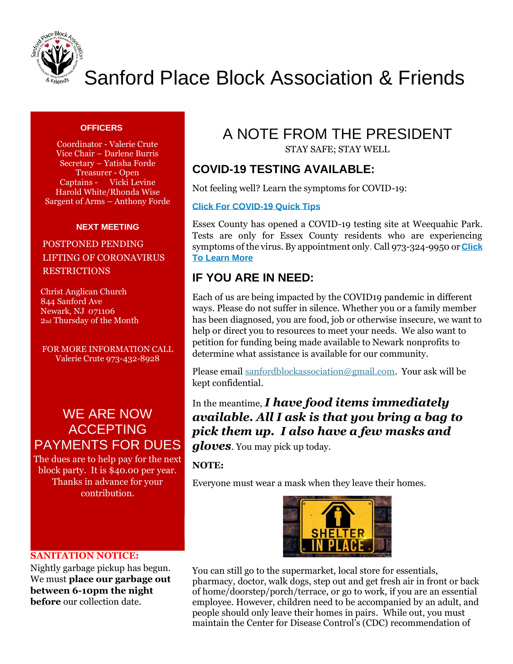

# Sanford Place Block Association & Friends

#### **OFFICERS**

Coordinator - Valerie Crute Vice Chair – Darlene Burris Secretary – Yatisha Forde Treasurer - Open Captains - Vicki Levine Harold White/Rhonda Wise Sargent of Arms – Anthony Forde

#### **NEXT MEETING**

### POSTPONED PENDING LIFTING OF CORONAVIRUS RESTRICTIONS

 Christ Anglican Church 844 Sanford Ave Newark, NJ 071106 2nd Thursday of the Month

FOR MORE INFORMATION CALL Valerie Crute 973-432-8928

## WE ARE NOW ACCEPTING PAYMENTS FOR DUES

The dues are to help pay for the next block party. It is \$40.00 per year. Thanks in advance for your contribution.

## A NOTE FROM THE PRESIDENT

STAY SAFE; STAY WELL

## **COVID-19 TESTING AVAILABLE:**

Not feeling well? Learn the symptoms for COVID-19:

#### **[Click For COVID-19 Quick Tips](https://nam02.safelinks.protection.outlook.com/?url=http%3A%2F%2Fr20.rs6.net%2Ftn.jsp%3Ff%3D001694ExrBnQjXngEIr6XYSc5ND-OIyWkaFN6cUrKOm06seYZ96ET0m7lfQeQJsZh7n4l4nKMKgLYcPT8dVkdzn83SzJIhATOweJwl3JTHhbFVY4XpYXiOj0BrysKOPsE1yyvPEHAreBacJbM9deHF12LIiu4rEO3iVHLV55-c-LyUShuKjg-A_o5mlS5ORb8gprwv6yMt0BCdz5r29JKgWTgPUYvNKjxJejncTK52kadk%3D%26c%3Dncyd4mWa3_uGOdCQ9wJ38woExBGvyZAdnAmnx58m6TPw51OfroiUsw%3D%3D%26ch%3DBDNM0T2rHteqbijcOD6H-CO4NQ5ONW-J1dGqXG-VKrEghoMSWXhTHg%3D%3D&data=02%7C01%7Cbonillan%40newark.rutgers.edu%7C5c9ae891f5244fe45c3f08d7e52d113c%7Cb92d2b234d35447093ff69aca6632ffe%7C1%7C0%7C637229854026781343&sdata=33XJIAK909lR%2FPPIMq1uYFIAVuBnUr7qsK5Wu6G%2FUvc%3D&reserved=0)**

Essex County has opened a COVID-19 testing site at Weequahic Park. Tests are only for Essex County residents who are experiencing symptoms of the virus. By appointment only. Call 973-324-9950 or **[Click](https://nam02.safelinks.protection.outlook.com/?url=http%3A%2F%2Fr20.rs6.net%2Ftn.jsp%3Ff%3D001694ExrBnQjXngEIr6XYSc5ND-OIyWkaFN6cUrKOm06seYZ96ET0m7lfQeQJsZh7nVdjC5W1rlE3BGal83GU1wfwDG74JfyS4IrvBUozQSRSsrpKGvuKY7oMO9tk4vbmtWPYKJddU1An3AfWUtIkDtQiu907NBBA-R9l8LUsstMf1meJ-sBHBav74OOFsTJ4predPQgIeKQPBdI8jPD3A0GISe2edUo5R%26c%3Dncyd4mWa3_uGOdCQ9wJ38woExBGvyZAdnAmnx58m6TPw51OfroiUsw%3D%3D%26ch%3DBDNM0T2rHteqbijcOD6H-CO4NQ5ONW-J1dGqXG-VKrEghoMSWXhTHg%3D%3D&data=02%7C01%7Cbonillan%40newark.rutgers.edu%7C5c9ae891f5244fe45c3f08d7e52d113c%7Cb92d2b234d35447093ff69aca6632ffe%7C1%7C0%7C637229854026781343&sdata=X9PD9%2BrYYxbuYmxioIL%2F%2BSw8Zn4%2B3ykJTbTCnWCTaJQ%3D&reserved=0)  [To Learn More](https://nam02.safelinks.protection.outlook.com/?url=http%3A%2F%2Fr20.rs6.net%2Ftn.jsp%3Ff%3D001694ExrBnQjXngEIr6XYSc5ND-OIyWkaFN6cUrKOm06seYZ96ET0m7lfQeQJsZh7nVdjC5W1rlE3BGal83GU1wfwDG74JfyS4IrvBUozQSRSsrpKGvuKY7oMO9tk4vbmtWPYKJddU1An3AfWUtIkDtQiu907NBBA-R9l8LUsstMf1meJ-sBHBav74OOFsTJ4predPQgIeKQPBdI8jPD3A0GISe2edUo5R%26c%3Dncyd4mWa3_uGOdCQ9wJ38woExBGvyZAdnAmnx58m6TPw51OfroiUsw%3D%3D%26ch%3DBDNM0T2rHteqbijcOD6H-CO4NQ5ONW-J1dGqXG-VKrEghoMSWXhTHg%3D%3D&data=02%7C01%7Cbonillan%40newark.rutgers.edu%7C5c9ae891f5244fe45c3f08d7e52d113c%7Cb92d2b234d35447093ff69aca6632ffe%7C1%7C0%7C637229854026781343&sdata=X9PD9%2BrYYxbuYmxioIL%2F%2BSw8Zn4%2B3ykJTbTCnWCTaJQ%3D&reserved=0)**

## **IF YOU ARE IN NEED:**

Each of us are being impacted by the COVID19 pandemic in different ways. Please do not suffer in silence. Whether you or a family member has been diagnosed, you are food, job or otherwise insecure, we want to help or direct you to resources to meet your needs. We also want to petition for funding being made available to Newark nonprofits to determine what assistance is available for our community.

Please email [sanfordblockassociation@gmail.com.](mailto:sanfordblockassociationandfriends@gmail.com) Your ask will be kept confidential.

In the meantime, *I have food items immediately available. All I ask is that you bring a bag to pick them up. I also have a few masks and* 

*gloves*. You may pick up today.

**NOTE:**

Everyone must wear a mask when they leave their homes.



#### **SANITATION NOTICE:**

Nightly garbage pickup has begun. We must **place our garbage out between 6-10pm the night before** our collection date.

You can still go to the supermarket, local store for essentials, pharmacy, doctor, walk dogs, step out and get fresh air in front or back of home/doorstep/porch/terrace, or go to work, if you are an essential employee. However, children need to be accompanied by an adult, and people should only leave their homes in pairs. While out, you must maintain the Center for Disease Control's (CDC) recommendation of